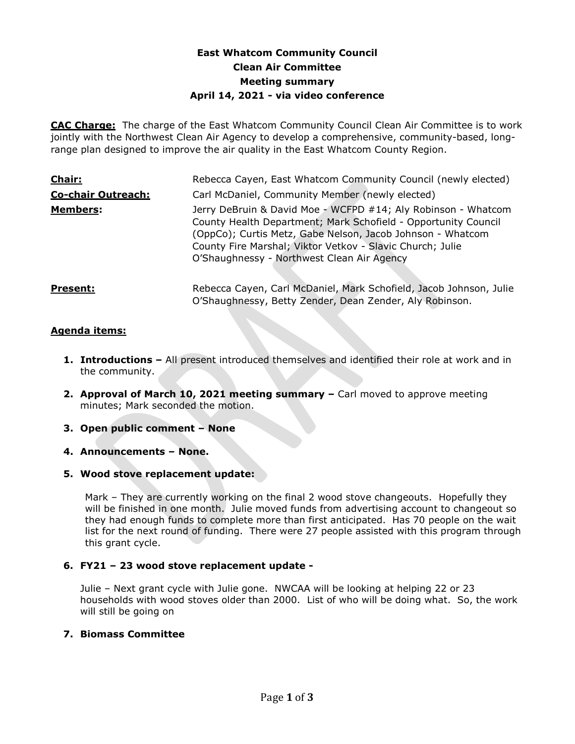# **East Whatcom Community Council Clean Air Committee Meeting summary April 14, 2021 - via video conference**

**CAC Charge:** The charge of the East Whatcom Community Council Clean Air Committee is to work jointly with the Northwest Clean Air Agency to develop a comprehensive, community-based, longrange plan designed to improve the air quality in the East Whatcom County Region.

| Chair:                    | Rebecca Cayen, East Whatcom Community Council (newly elected)                                                                                                                                                                                                                                            |
|---------------------------|----------------------------------------------------------------------------------------------------------------------------------------------------------------------------------------------------------------------------------------------------------------------------------------------------------|
| <b>Co-chair Outreach:</b> | Carl McDaniel, Community Member (newly elected)                                                                                                                                                                                                                                                          |
| <b>Members:</b>           | Jerry DeBruin & David Moe - WCFPD #14; Aly Robinson - Whatcom<br>County Health Department; Mark Schofield - Opportunity Council<br>(OppCo); Curtis Metz, Gabe Nelson, Jacob Johnson - Whatcom<br>County Fire Marshal; Viktor Vetkov - Slavic Church; Julie<br>O'Shaughnessy - Northwest Clean Air Agency |
| <b>Present:</b>           | Rebecca Cayen, Carl McDaniel, Mark Schofield, Jacob Johnson, Julie<br>O'Shaughnessy, Betty Zender, Dean Zender, Aly Robinson.                                                                                                                                                                            |

# **Agenda items:**

- **1. Introductions –** All present introduced themselves and identified their role at work and in the community.
- **2. Approval of March 10, 2021 meeting summary –** Carl moved to approve meeting minutes; Mark seconded the motion.
- **3. Open public comment – None**
- **4. Announcements – None.**
- **5. Wood stove replacement update:**

Mark – They are currently working on the final 2 wood stove changeouts. Hopefully they will be finished in one month. Julie moved funds from advertising account to changeout so they had enough funds to complete more than first anticipated. Has 70 people on the wait list for the next round of funding. There were 27 people assisted with this program through this grant cycle.

# **6. FY21 – 23 wood stove replacement update -**

Julie – Next grant cycle with Julie gone. NWCAA will be looking at helping 22 or 23 households with wood stoves older than 2000. List of who will be doing what. So, the work will still be going on

#### **7. Biomass Committee**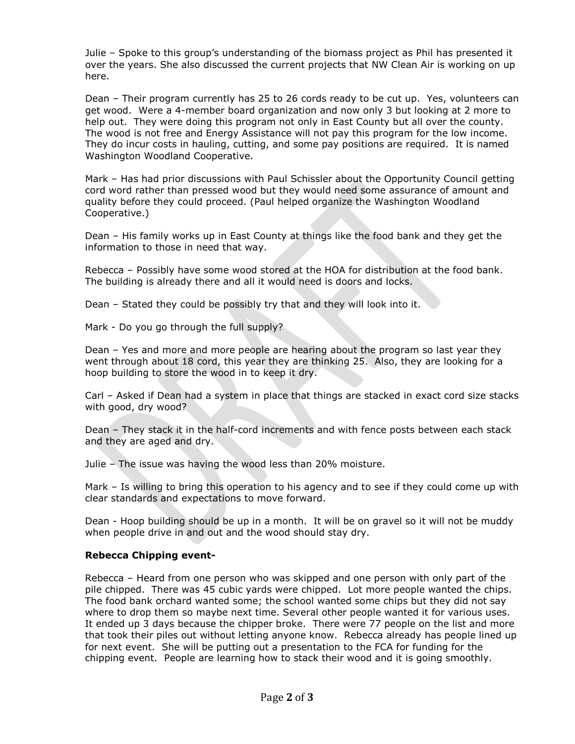Julie – Spoke to this group's understanding of the biomass project as Phil has presented it over the years. She also discussed the current projects that NW Clean Air is working on up here.

Dean – Their program currently has 25 to 26 cords ready to be cut up. Yes, volunteers can get wood. Were a 4-member board organization and now only 3 but looking at 2 more to help out. They were doing this program not only in East County but all over the county. The wood is not free and Energy Assistance will not pay this program for the low income. They do incur costs in hauling, cutting, and some pay positions are required. It is named Washington Woodland Cooperative.

Mark – Has had prior discussions with Paul Schissler about the Opportunity Council getting cord word rather than pressed wood but they would need some assurance of amount and quality before they could proceed. (Paul helped organize the Washington Woodland Cooperative.)

Dean – His family works up in East County at things like the food bank and they get the information to those in need that way.

Rebecca – Possibly have some wood stored at the HOA for distribution at the food bank. The building is already there and all it would need is doors and locks.

Dean – Stated they could be possibly try that and they will look into it.

Mark - Do you go through the full supply?

Dean – Yes and more and more people are hearing about the program so last year they went through about 18 cord, this year they are thinking 25. Also, they are looking for a hoop building to store the wood in to keep it dry.

Carl – Asked if Dean had a system in place that things are stacked in exact cord size stacks with good, dry wood?

Dean – They stack it in the half-cord increments and with fence posts between each stack and they are aged and dry.

Julie – The issue was having the wood less than 20% moisture.

Mark – Is willing to bring this operation to his agency and to see if they could come up with clear standards and expectations to move forward.

Dean - Hoop building should be up in a month. It will be on gravel so it will not be muddy when people drive in and out and the wood should stay dry.

#### **Rebecca Chipping event-**

Rebecca – Heard from one person who was skipped and one person with only part of the pile chipped. There was 45 cubic yards were chipped. Lot more people wanted the chips. The food bank orchard wanted some; the school wanted some chips but they did not say where to drop them so maybe next time. Several other people wanted it for various uses. It ended up 3 days because the chipper broke. There were 77 people on the list and more that took their piles out without letting anyone know. Rebecca already has people lined up for next event. She will be putting out a presentation to the FCA for funding for the chipping event. People are learning how to stack their wood and it is going smoothly.